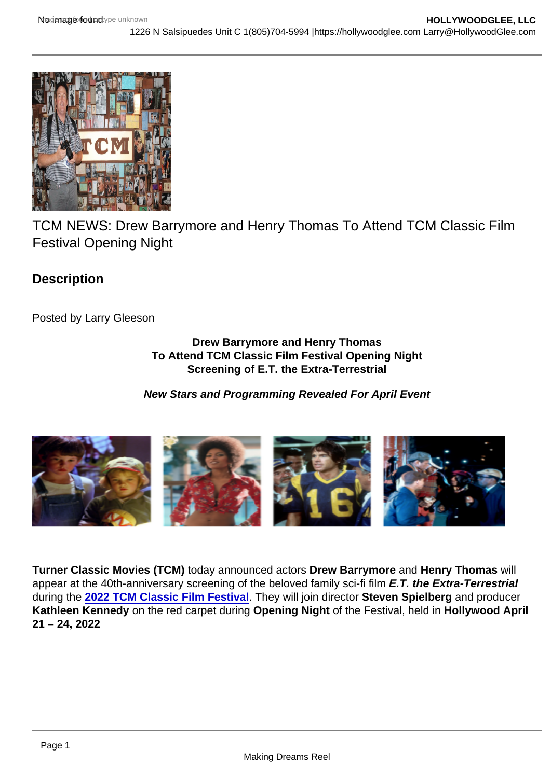TCM NEWS: Drew Barrymore and Henry Thomas To Attend TCM Classic Film Festival Opening Night

**Description** 

Posted by Larry Gleeson

Drew Barrymore and Henry Thomas To Attend TCM Classic Film Festival Opening Night Screening of E.T. the Extra-Terrestrial

New Stars and Programming Revealed For April Event

Turner Classic Movies (TCM) today announced actors Drew Barrymore and Henry Thomas will appear at the 40th-anniversary screening of the beloved family sci-fi film E.T. the Extra-Terrestrial during the [2022 TCM Classic Film Festival](https://tcm.us16.list-manage.com/track/click?u=cfb223e265ad332b422ebe4a2&id=3f0568f1a4&e=5c049257b7) . They will join director Steven Spielberg and producer Kathleen Kennedy on the red carpet during Opening Night of the Festival, held in Hollywood April 21 – 24, 2022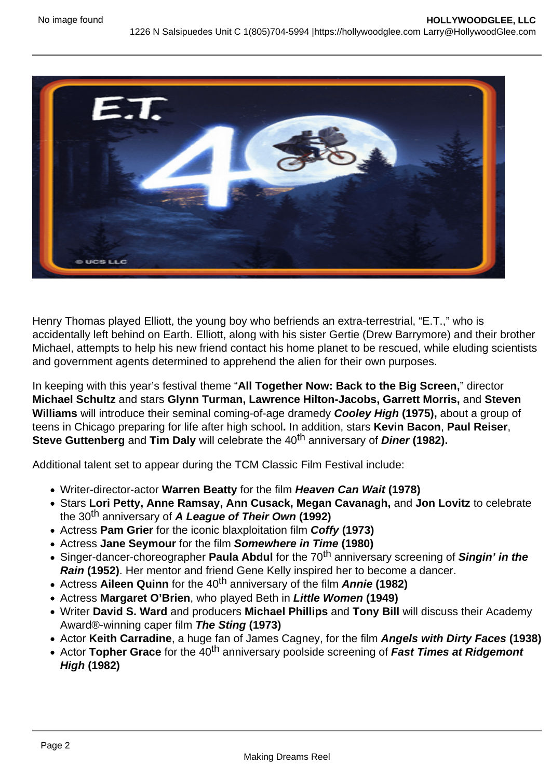Henry Thomas played Elliott, the young boy who befriends an extra-terrestrial, "E.T.," who is accidentally left behind on Earth. Elliott, along with his sister Gertie (Drew Barrymore) and their brother Michael, attempts to help his new friend contact his home planet to be rescued, while eluding scientists and government agents determined to apprehend the alien for their own purposes.

In keeping with this year's festival theme "All Together Now: Back to the Big Screen, " director Michael Schultz and stars Glynn Turman, Lawrence Hilton-Jacobs, Garrett Morris, and Steven Williams will introduce their seminal coming-of-age dramedy Cooley High (1975), about a group of teens in Chicago preparing for life after high school. In addition, stars Kevin Bacon , Paul Reiser , Steve Guttenberg and Tim Daly will celebrate the 40<sup>th</sup> anniversary of Diner (1982).

Additional talent set to appear during the TCM Classic Film Festival include:

- Writer-director-actor Warren Beatty for the film Heaven Can Wait (1978)
- Stars Lori Petty, Anne Ramsay, Ann Cusack, Megan Cavanagh, and Jon Lovitz to celebrate the 30th anniversary of A League of Their Own (1992)
- Actress Pam Grier for the iconic blaxploitation film Coffy (1973)
- Actress Jane Seymour for the film Somewhere in Time (1980)
- Singer-dancer-choreographer Paula Abdul for the 70<sup>th</sup> anniversary screening of Singin' in the Rain (1952). Her mentor and friend Gene Kelly inspired her to become a dancer.
- Actress Aileen Quinn for the 40<sup>th</sup> anniversary of the film Annie (1982)
- Actress Margaret O'Brien , who played Beth in Little Women (1949)
- Writer David S. Ward and producers Michael Phillips and Tony Bill will discuss their Academy Award®-winning caper film The Sting (1973)
- Actor Keith Carradine, a huge fan of James Cagney, for the film Angels with Dirty Faces (1938)
- Actor Topher Grace for the  $40<sup>th</sup>$  anniversary poolside screening of Fast Times at Ridgemont High (1982)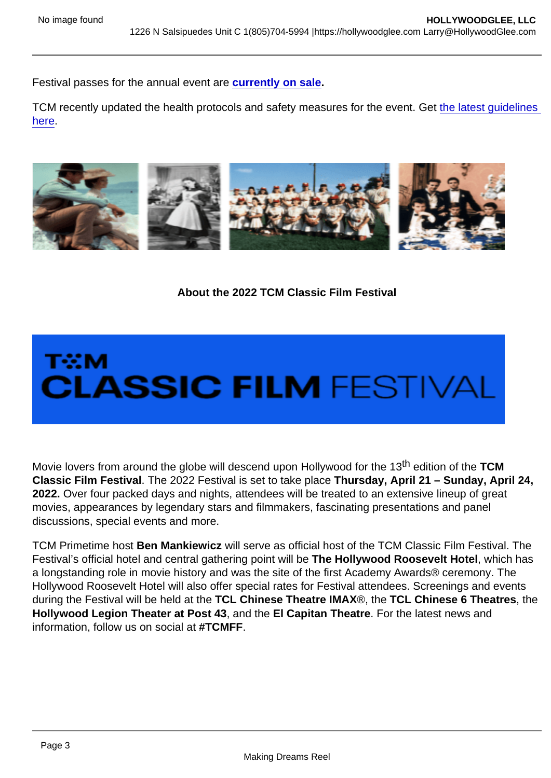Festival passes for the annual event are [currently on sale](https://tcm.us16.list-manage.com/track/click?u=cfb223e265ad332b422ebe4a2&id=98d2b49b49&e=5c049257b7).

TCM recently updated the health protocols and safety measures for the event. Get the latest quidelines [here](https://tcm.us16.list-manage.com/track/click?u=cfb223e265ad332b422ebe4a2&id=7025253712&e=5c049257b7).

About the 2022 TCM Classic Film Festival

Movie lovers from around the globe will descend upon Hollywood for the 13<sup>th</sup> edition of the TCM Classic Film Festival . The 2022 Festival is set to take place Thursday, April 21 – Sunday, April 24, 2022. Over four packed days and nights, attendees will be treated to an extensive lineup of great movies, appearances by legendary stars and filmmakers, fascinating presentations and panel discussions, special events and more.

TCM Primetime host Ben Mankiewicz will serve as official host of the TCM Classic Film Festival. The Festival's official hotel and central gathering point will be The Hollywood Roosevelt Hotel , which has a longstanding role in movie history and was the site of the first Academy Awards® ceremony. The Hollywood Roosevelt Hotel will also offer special rates for Festival attendees. Screenings and events during the Festival will be held at the TCL Chinese Theatre IMAX ®, the TCL Chinese 6 Theatres , the Hollywood Legion Theater at Post 43 , and the El Capitan Theatre . For the latest news and information, follow us on social at #TCMFF.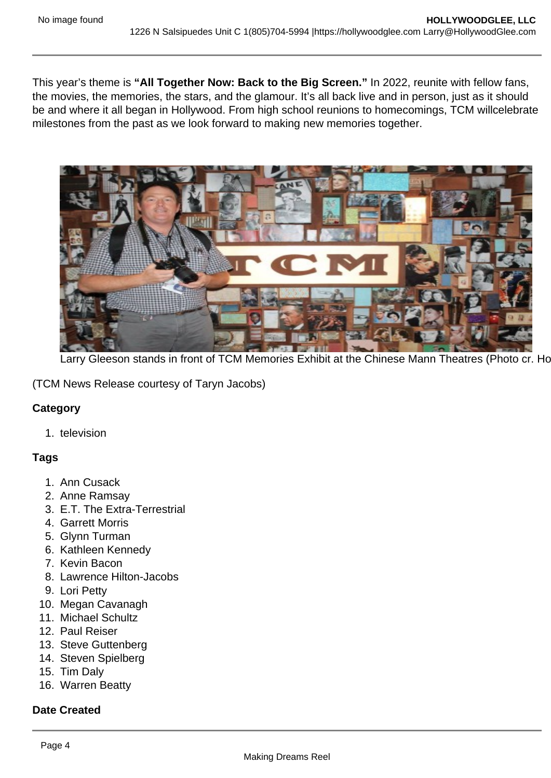This year's theme is "All Together Now: Back to the Big Screen." In 2022, reunite with fellow fans, the movies, the memories, the stars, and the glamour. It's all back live and in person, just as it should be and where it all began in Hollywood. From high school reunions to homecomings, TCM willcelebrate milestones from the past as we look forward to making new memories together.

Larry Gleeson stands in front of TCM Memories Exhibit at the Chinese Mann Theatres (Photo cr. Ho

(TCM News Release courtesy of Taryn Jacobs)

**Category** 

1. television

Tags

- 1. Ann Cusack
- 2. Anne Ramsay
- 3. E.T. The Extra-Terrestrial
- 4. Garrett Morris
- 5. Glynn Turman
- 6. Kathleen Kennedy
- 7. Kevin Bacon
- 8. Lawrence Hilton-Jacobs
- 9. Lori Petty
- 10. Megan Cavanagh
- 11. Michael Schultz
- 12. Paul Reiser
- 13. Steve Guttenberg
- 14. Steven Spielberg
- 15. Tim Daly
- 16. Warren Beatty

Date Created